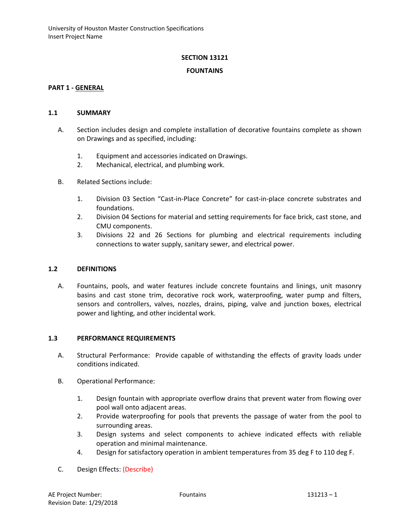## **SECTION 13121**

#### **FOUNTAINS**

#### **PART 1 - GENERAL**

### **1.1 SUMMARY**

- A. Section includes design and complete installation of decorative fountains complete as shown on Drawings and as specified, including:
	- 1. Equipment and accessories indicated on Drawings.
	- 2. Mechanical, electrical, and plumbing work.
- B. Related Sections include:
	- 1. Division 03 Section "Cast-in-Place Concrete" for cast-in-place concrete substrates and foundations.
	- 2. Division 04 Sections for material and setting requirements for face brick, cast stone, and CMU components.
	- 3. Divisions 22 and 26 Sections for plumbing and electrical requirements including connections to water supply, sanitary sewer, and electrical power.

## **1.2 DEFINITIONS**

A. Fountains, pools, and water features include concrete fountains and linings, unit masonry basins and cast stone trim, decorative rock work, waterproofing, water pump and filters, sensors and controllers, valves, nozzles, drains, piping, valve and junction boxes, electrical power and lighting, and other incidental work.

## **1.3 PERFORMANCE REQUIREMENTS**

- A. Structural Performance: Provide capable of withstanding the effects of gravity loads under conditions indicated.
- B. Operational Performance:
	- 1. Design fountain with appropriate overflow drains that prevent water from flowing over pool wall onto adjacent areas.
	- 2. Provide waterproofing for pools that prevents the passage of water from the pool to surrounding areas.
	- 3. Design systems and select components to achieve indicated effects with reliable operation and minimal maintenance.
	- 4. Design for satisfactory operation in ambient temperatures from 35 deg F to 110 deg F.
- C. Design Effects: (Describe)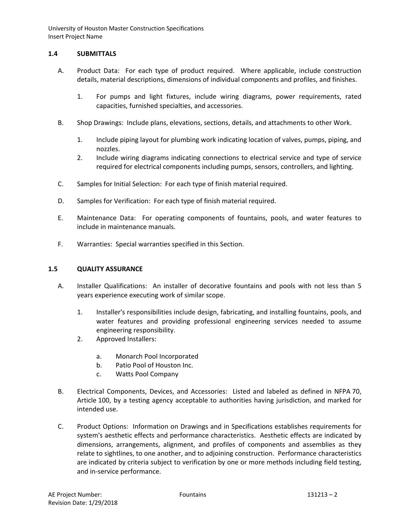# **1.4 SUBMITTALS**

- A. Product Data: For each type of product required. Where applicable, include construction details, material descriptions, dimensions of individual components and profiles, and finishes.
	- 1. For pumps and light fixtures, include wiring diagrams, power requirements, rated capacities, furnished specialties, and accessories.
- B. Shop Drawings: Include plans, elevations, sections, details, and attachments to other Work.
	- 1. Include piping layout for plumbing work indicating location of valves, pumps, piping, and nozzles.
	- 2. Include wiring diagrams indicating connections to electrical service and type of service required for electrical components including pumps, sensors, controllers, and lighting.
- C. Samples for Initial Selection: For each type of finish material required.
- D. Samples for Verification: For each type of finish material required.
- E. Maintenance Data: For operating components of fountains, pools, and water features to include in maintenance manuals.
- F. Warranties: Special warranties specified in this Section.

# **1.5 QUALITY ASSURANCE**

- A. Installer Qualifications: An installer of decorative fountains and pools with not less than 5 years experience executing work of similar scope.
	- 1. Installer's responsibilities include design, fabricating, and installing fountains, pools, and water features and providing professional engineering services needed to assume engineering responsibility.
	- 2. Approved Installers:
		- a. Monarch Pool Incorporated
		- b. Patio Pool of Houston Inc.
		- c. Watts Pool Company
- B. Electrical Components, Devices, and Accessories: Listed and labeled as defined in NFPA 70, Article 100, by a testing agency acceptable to authorities having jurisdiction, and marked for intended use.
- C. Product Options: Information on Drawings and in Specifications establishes requirements for system's aesthetic effects and performance characteristics. Aesthetic effects are indicated by dimensions, arrangements, alignment, and profiles of components and assemblies as they relate to sightlines, to one another, and to adjoining construction. Performance characteristics are indicated by criteria subject to verification by one or more methods including field testing, and in-service performance.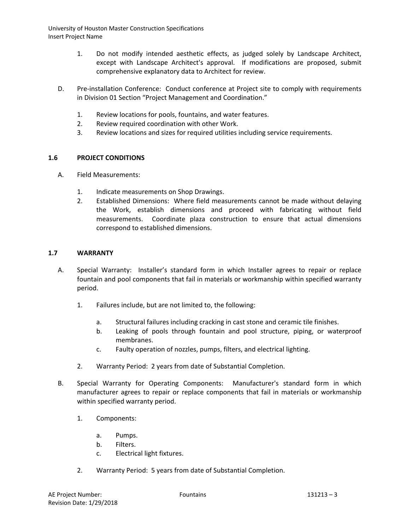- 1. Do not modify intended aesthetic effects, as judged solely by Landscape Architect, except with Landscape Architect's approval. If modifications are proposed, submit comprehensive explanatory data to Architect for review.
- D. Pre-installation Conference: Conduct conference at Project site to comply with requirements in Division 01 Section "Project Management and Coordination."
	- 1. Review locations for pools, fountains, and water features.
	- 2. Review required coordination with other Work.
	- 3. Review locations and sizes for required utilities including service requirements.

## **1.6 PROJECT CONDITIONS**

- A. Field Measurements:
	- 1. Indicate measurements on Shop Drawings.
	- 2. Established Dimensions: Where field measurements cannot be made without delaying the Work, establish dimensions and proceed with fabricating without field measurements. Coordinate plaza construction to ensure that actual dimensions correspond to established dimensions.

### **1.7 WARRANTY**

- A. Special Warranty: Installer's standard form in which Installer agrees to repair or replace fountain and pool components that fail in materials or workmanship within specified warranty period.
	- 1. Failures include, but are not limited to, the following:
		- a. Structural failures including cracking in cast stone and ceramic tile finishes.
		- b. Leaking of pools through fountain and pool structure, piping, or waterproof membranes.
		- c. Faulty operation of nozzles, pumps, filters, and electrical lighting.
	- 2. Warranty Period: 2 years from date of Substantial Completion.
- B. Special Warranty for Operating Components: Manufacturer's standard form in which manufacturer agrees to repair or replace components that fail in materials or workmanship within specified warranty period.
	- 1. Components:
		- a. Pumps.
		- b. Filters.
		- c. Electrical light fixtures.
	- 2. Warranty Period: 5 years from date of Substantial Completion.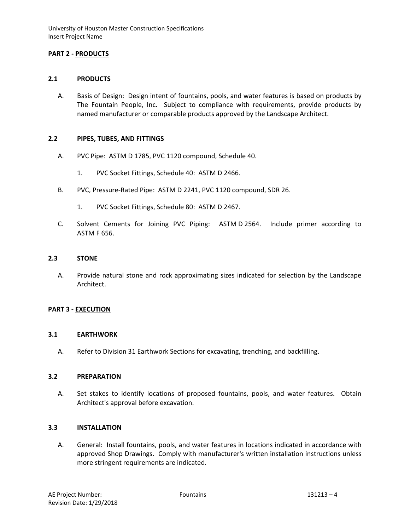## **PART 2 - PRODUCTS**

### **2.1 PRODUCTS**

A. Basis of Design: Design intent of fountains, pools, and water features is based on products by The Fountain People, Inc. Subject to compliance with requirements, provide products by named manufacturer or comparable products approved by the Landscape Architect.

#### **2.2 PIPES, TUBES, AND FITTINGS**

- A. PVC Pipe: ASTM D 1785, PVC 1120 compound, Schedule 40.
	- 1. PVC Socket Fittings, Schedule 40: ASTM D 2466.
- B. PVC, Pressure-Rated Pipe: ASTM D 2241, PVC 1120 compound, SDR 26.
	- 1. PVC Socket Fittings, Schedule 80: ASTM D 2467.
- C. Solvent Cements for Joining PVC Piping: ASTM D 2564. Include primer according to ASTM F 656.

### **2.3 STONE**

A. Provide natural stone and rock approximating sizes indicated for selection by the Landscape Architect.

#### **PART 3 - EXECUTION**

#### **3.1 EARTHWORK**

A. Refer to Division 31 Earthwork Sections for excavating, trenching, and backfilling.

#### **3.2 PREPARATION**

A. Set stakes to identify locations of proposed fountains, pools, and water features. Obtain Architect's approval before excavation.

# **3.3 INSTALLATION**

A. General: Install fountains, pools, and water features in locations indicated in accordance with approved Shop Drawings. Comply with manufacturer's written installation instructions unless more stringent requirements are indicated.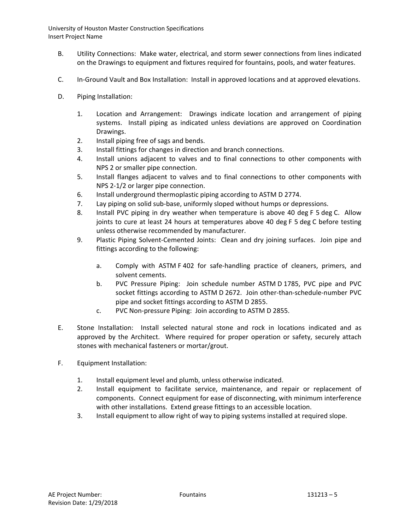- B. Utility Connections: Make water, electrical, and storm sewer connections from lines indicated on the Drawings to equipment and fixtures required for fountains, pools, and water features.
- C. In-Ground Vault and Box Installation: Install in approved locations and at approved elevations.
- D. Piping Installation:
	- 1. Location and Arrangement: Drawings indicate location and arrangement of piping systems. Install piping as indicated unless deviations are approved on Coordination Drawings.
	- 2. Install piping free of sags and bends.
	- 3. Install fittings for changes in direction and branch connections.
	- 4. Install unions adjacent to valves and to final connections to other components with NPS 2 or smaller pipe connection.
	- 5. Install flanges adjacent to valves and to final connections to other components with NPS 2-1/2 or larger pipe connection.
	- 6. Install underground thermoplastic piping according to ASTM D 2774.
	- 7. Lay piping on solid sub-base, uniformly sloped without humps or depressions.
	- 8. Install PVC piping in dry weather when temperature is above 40 deg F 5 deg C. Allow joints to cure at least 24 hours at temperatures above 40 deg F 5 deg C before testing unless otherwise recommended by manufacturer.
	- 9. Plastic Piping Solvent-Cemented Joints: Clean and dry joining surfaces. Join pipe and fittings according to the following:
		- a. Comply with ASTM F 402 for safe-handling practice of cleaners, primers, and solvent cements.
		- b. PVC Pressure Piping: Join schedule number ASTM D 1785, PVC pipe and PVC socket fittings according to ASTM D 2672. Join other-than-schedule-number PVC pipe and socket fittings according to ASTM D 2855.
		- c. PVC Non-pressure Piping: Join according to ASTM D 2855.
- E. Stone Installation: Install selected natural stone and rock in locations indicated and as approved by the Architect. Where required for proper operation or safety, securely attach stones with mechanical fasteners or mortar/grout.
- F. Equipment Installation:
	- 1. Install equipment level and plumb, unless otherwise indicated.
	- 2. Install equipment to facilitate service, maintenance, and repair or replacement of components. Connect equipment for ease of disconnecting, with minimum interference with other installations. Extend grease fittings to an accessible location.
	- 3. Install equipment to allow right of way to piping systems installed at required slope.